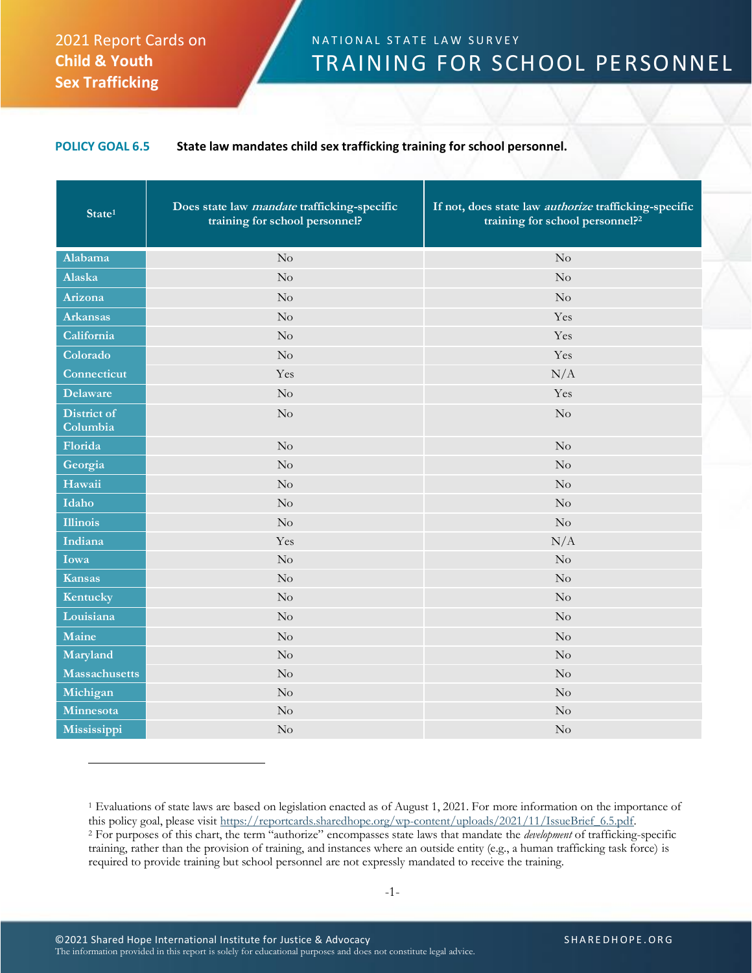## 2021 Report Cards on **Child & Youth Sex Trafficking**

## N A T I ON AL STATE LAW SURVEY TRAINING FOR SCHOOL PERSONNEL

## **POLICY GOAL 6.5 State law mandates child sex trafficking training for school personnel.**

| State <sup>1</sup>             | Does state law <i>mandate</i> trafficking-specific<br>training for school personnel? | If not, does state law <i>authorize</i> trafficking-specific<br>training for school personnel? <sup>2</sup> |
|--------------------------------|--------------------------------------------------------------------------------------|-------------------------------------------------------------------------------------------------------------|
| Alabama                        | No                                                                                   | No                                                                                                          |
| Alaska                         | No                                                                                   | No                                                                                                          |
| Arizona                        | No                                                                                   | No                                                                                                          |
| <b>Arkansas</b>                | No                                                                                   | Yes                                                                                                         |
| California                     | $\rm No$                                                                             | Yes                                                                                                         |
| Colorado                       | No                                                                                   | Yes                                                                                                         |
| Connecticut                    | Yes                                                                                  | N/A                                                                                                         |
| <b>Delaware</b>                | No                                                                                   | Yes                                                                                                         |
| <b>District of</b><br>Columbia | No                                                                                   | No                                                                                                          |
| Florida                        | No                                                                                   | No                                                                                                          |
| Georgia                        | No                                                                                   | No                                                                                                          |
| Hawaii                         | No                                                                                   | No                                                                                                          |
| Idaho                          | No                                                                                   | $\rm No$                                                                                                    |
| <b>Illinois</b>                | No                                                                                   | No                                                                                                          |
| Indiana                        | Yes                                                                                  | N/A                                                                                                         |
| Iowa                           | No                                                                                   | No                                                                                                          |
| <b>Kansas</b>                  | $\rm No$                                                                             | $\rm No$                                                                                                    |
| Kentucky                       | No                                                                                   | No                                                                                                          |
| Louisiana                      | No                                                                                   | No                                                                                                          |
| Maine                          | No                                                                                   | No                                                                                                          |
| Maryland                       | No                                                                                   | No                                                                                                          |
| <b>Massachusetts</b>           | No                                                                                   | $\rm No$                                                                                                    |
| Michigan                       | No                                                                                   | No                                                                                                          |
| Minnesota                      | No                                                                                   | No                                                                                                          |
| Mississippi                    | No                                                                                   | $\rm No$                                                                                                    |

<sup>1</sup> Evaluations of state laws are based on legislation enacted as of August 1, 2021. For more information on the importance of this policy goal, please visit [https://reportcards.sharedhope.org/wp-content/uploads/2021/11/IssueBrief\\_6.5.pdf.](https://reportcards.sharedhope.org/wp-content/uploads/2021/11/IssueBrief_6.5.pdf) <sup>2</sup> For purposes of this chart, the term "authorize" encompasses state laws that mandate the *development* of trafficking-specific training, rather than the provision of training, and instances where an outside entity (e.g., a human trafficking task force) is required to provide training but school personnel are not expressly mandated to receive the training.